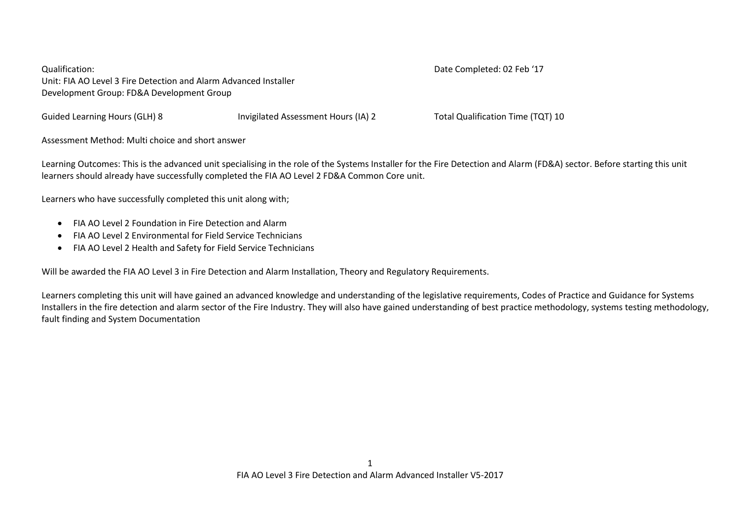Qualification: Date Completed: 02 Feb '17 Unit: FIA AO Level 3 Fire Detection and Alarm Advanced Installer Development Group: FD&A Development Group

Guided Learning Hours (GLH) 8 **Invigilated Assessment Hours (IA) 2** Total Qualification Time (TQT) 10

Assessment Method: Multi choice and short answer

Learning Outcomes: This is the advanced unit specialising in the role of the Systems Installer for the Fire Detection and Alarm (FD&A) sector. Before starting this unit learners should already have successfully completed the FIA AO Level 2 FD&A Common Core unit.

Learners who have successfully completed this unit along with;

- FIA AO Level 2 Foundation in Fire Detection and Alarm
- FIA AO Level 2 Environmental for Field Service Technicians
- FIA AO Level 2 Health and Safety for Field Service Technicians

Will be awarded the FIA AO Level 3 in Fire Detection and Alarm Installation, Theory and Regulatory Requirements.

Learners completing this unit will have gained an advanced knowledge and understanding of the legislative requirements, Codes of Practice and Guidance for Systems Installers in the fire detection and alarm sector of the Fire Industry. They will also have gained understanding of best practice methodology, systems testing methodology, fault finding and System Documentation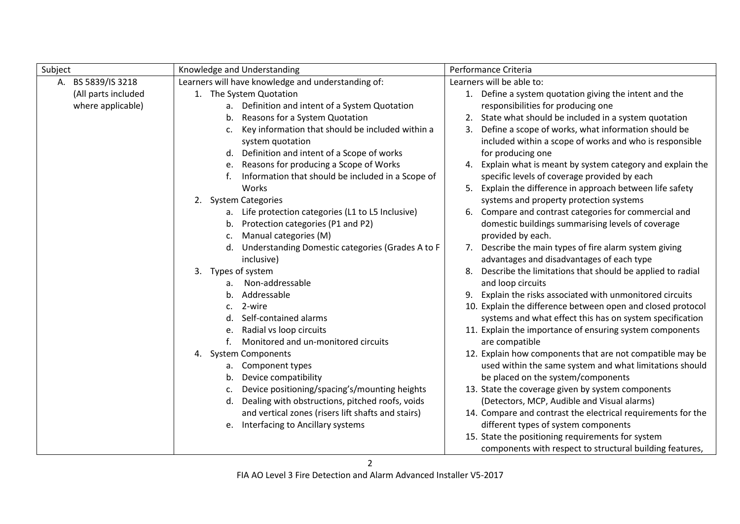| Subject             | Knowledge and Understanding                                        | Performance Criteria                                            |
|---------------------|--------------------------------------------------------------------|-----------------------------------------------------------------|
| A. BS 5839/IS 3218  | Learners will have knowledge and understanding of:                 | Learners will be able to:                                       |
| (All parts included | 1. The System Quotation                                            | 1. Define a system quotation giving the intent and the          |
| where applicable)   | a. Definition and intent of a System Quotation                     | responsibilities for producing one                              |
|                     | Reasons for a System Quotation<br>b.                               | 2. State what should be included in a system quotation          |
|                     | Key information that should be included within a<br>$\mathsf{C}$ . | Define a scope of works, what information should be<br>3.       |
|                     | system quotation                                                   | included within a scope of works and who is responsible         |
|                     | Definition and intent of a Scope of works<br>d.                    | for producing one                                               |
|                     | Reasons for producing a Scope of Works<br>e.                       | Explain what is meant by system category and explain the<br>4.  |
|                     | Information that should be included in a Scope of                  | specific levels of coverage provided by each                    |
|                     | Works                                                              | 5. Explain the difference in approach between life safety       |
|                     | <b>System Categories</b><br>2.                                     | systems and property protection systems                         |
|                     | a. Life protection categories (L1 to L5 Inclusive)                 | Compare and contrast categories for commercial and<br>6.        |
|                     | Protection categories (P1 and P2)<br>b.                            | domestic buildings summarising levels of coverage               |
|                     | Manual categories (M)<br>c.                                        | provided by each.                                               |
|                     | Understanding Domestic categories (Grades A to F<br>d.             | Describe the main types of fire alarm system giving<br>7.       |
|                     | inclusive)                                                         | advantages and disadvantages of each type                       |
|                     | Types of system<br>3.                                              | Describe the limitations that should be applied to radial<br>8. |
|                     | Non-addressable<br>а.                                              | and loop circuits                                               |
|                     | Addressable<br>b.                                                  | 9. Explain the risks associated with unmonitored circuits       |
|                     | 2-wire<br>C.                                                       | 10. Explain the difference between open and closed protocol     |
|                     | Self-contained alarms<br>d.                                        | systems and what effect this has on system specification        |
|                     | Radial vs loop circuits<br>e.                                      | 11. Explain the importance of ensuring system components        |
|                     | Monitored and un-monitored circuits                                | are compatible                                                  |
|                     | <b>System Components</b><br>4.                                     | 12. Explain how components that are not compatible may be       |
|                     | Component types<br>а.                                              | used within the same system and what limitations should         |
|                     | Device compatibility<br>b.                                         | be placed on the system/components                              |
|                     | Device positioning/spacing's/mounting heights<br>c.                | 13. State the coverage given by system components               |
|                     | Dealing with obstructions, pitched roofs, voids<br>d.              | (Detectors, MCP, Audible and Visual alarms)                     |
|                     | and vertical zones (risers lift shafts and stairs)                 | 14. Compare and contrast the electrical requirements for the    |
|                     | e. Interfacing to Ancillary systems                                | different types of system components                            |
|                     |                                                                    | 15. State the positioning requirements for system               |
|                     |                                                                    | components with respect to structural building features,        |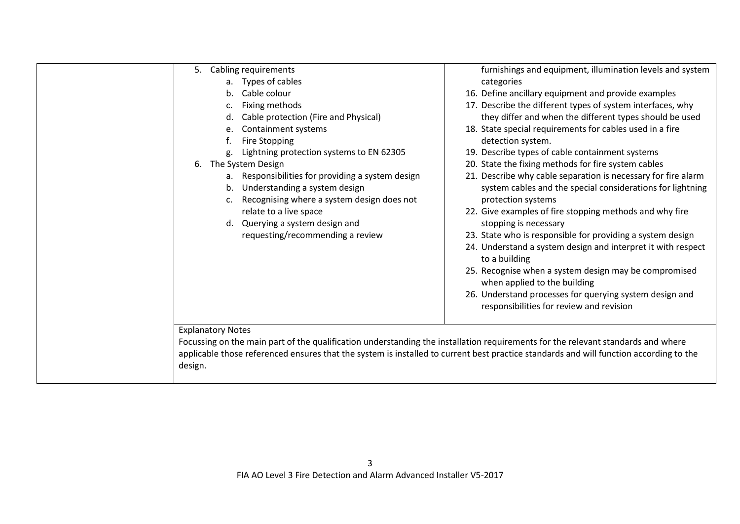| Cabling requirements<br>5.                                                                                                             | furnishings and equipment, illumination levels and system                                           |
|----------------------------------------------------------------------------------------------------------------------------------------|-----------------------------------------------------------------------------------------------------|
| a. Types of cables                                                                                                                     | categories                                                                                          |
| Cable colour<br>$h_{-}$                                                                                                                | 16. Define ancillary equipment and provide examples                                                 |
| Fixing methods<br>c.                                                                                                                   | 17. Describe the different types of system interfaces, why                                          |
| Cable protection (Fire and Physical)<br>d.                                                                                             | they differ and when the different types should be used                                             |
| Containment systems<br>e.                                                                                                              | 18. State special requirements for cables used in a fire                                            |
| Fire Stopping                                                                                                                          | detection system.                                                                                   |
| Lightning protection systems to EN 62305                                                                                               | 19. Describe types of cable containment systems                                                     |
| 6. The System Design                                                                                                                   | 20. State the fixing methods for fire system cables                                                 |
| a. Responsibilities for providing a system design                                                                                      | 21. Describe why cable separation is necessary for fire alarm                                       |
| Understanding a system design<br>b.                                                                                                    | system cables and the special considerations for lightning                                          |
| Recognising where a system design does not<br>c.                                                                                       | protection systems                                                                                  |
| relate to a live space                                                                                                                 | 22. Give examples of fire stopping methods and why fire                                             |
| Querying a system design and<br>d.                                                                                                     | stopping is necessary                                                                               |
| requesting/recommending a review                                                                                                       | 23. State who is responsible for providing a system design                                          |
|                                                                                                                                        | 24. Understand a system design and interpret it with respect<br>to a building                       |
|                                                                                                                                        | 25. Recognise when a system design may be compromised<br>when applied to the building               |
|                                                                                                                                        | 26. Understand processes for querying system design and<br>responsibilities for review and revision |
|                                                                                                                                        |                                                                                                     |
| <b>Explanatory Notes</b>                                                                                                               |                                                                                                     |
| Focussing on the main part of the qualification understanding the installation requirements for the relevant standards and where       |                                                                                                     |
| applicable those referenced ensures that the system is installed to current best practice standards and will function according to the |                                                                                                     |
| design.                                                                                                                                |                                                                                                     |
|                                                                                                                                        |                                                                                                     |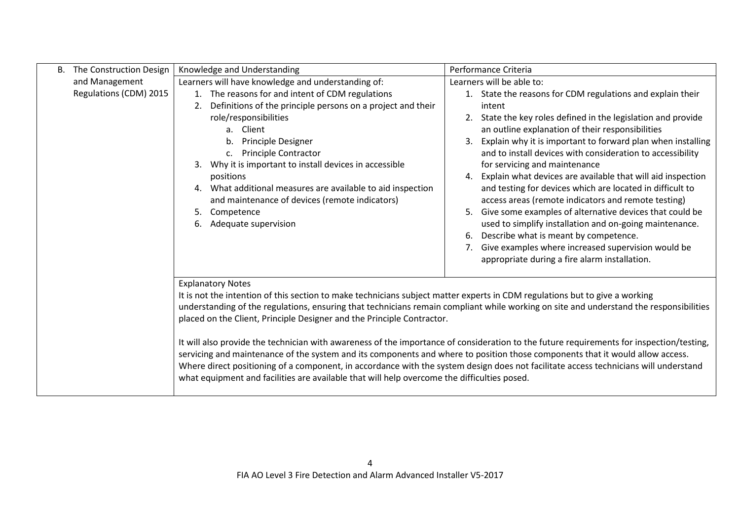| B. | The Construction Design | Knowledge and Understanding                                                                                                                                                                                                                                                                                                                                                                                                                                                                                                                                                                                                                                                                                                                           | Performance Criteria                                                                                                                                                                                                                                                                                                                                                                                                                                                                                                                                                                                                                                                                                                                                                                                                                              |
|----|-------------------------|-------------------------------------------------------------------------------------------------------------------------------------------------------------------------------------------------------------------------------------------------------------------------------------------------------------------------------------------------------------------------------------------------------------------------------------------------------------------------------------------------------------------------------------------------------------------------------------------------------------------------------------------------------------------------------------------------------------------------------------------------------|---------------------------------------------------------------------------------------------------------------------------------------------------------------------------------------------------------------------------------------------------------------------------------------------------------------------------------------------------------------------------------------------------------------------------------------------------------------------------------------------------------------------------------------------------------------------------------------------------------------------------------------------------------------------------------------------------------------------------------------------------------------------------------------------------------------------------------------------------|
|    | and Management          | Learners will have knowledge and understanding of:                                                                                                                                                                                                                                                                                                                                                                                                                                                                                                                                                                                                                                                                                                    | Learners will be able to:                                                                                                                                                                                                                                                                                                                                                                                                                                                                                                                                                                                                                                                                                                                                                                                                                         |
|    | Regulations (CDM) 2015  | 1. The reasons for and intent of CDM regulations<br>Definitions of the principle persons on a project and their<br>2.<br>role/responsibilities<br>a. Client<br>Principle Designer<br>b.<br><b>Principle Contractor</b><br>c.<br>Why it is important to install devices in accessible<br>3.<br>positions<br>What additional measures are available to aid inspection<br>4.<br>and maintenance of devices (remote indicators)<br>5.<br>Competence<br>Adequate supervision<br>6.                                                                                                                                                                                                                                                                         | 1. State the reasons for CDM regulations and explain their<br>intent<br>State the key roles defined in the legislation and provide<br>2.<br>an outline explanation of their responsibilities<br>Explain why it is important to forward plan when installing<br>3.<br>and to install devices with consideration to accessibility<br>for servicing and maintenance<br>Explain what devices are available that will aid inspection<br>4.<br>and testing for devices which are located in difficult to<br>access areas (remote indicators and remote testing)<br>Give some examples of alternative devices that could be<br>5.<br>used to simplify installation and on-going maintenance.<br>Describe what is meant by competence.<br>6.<br>Give examples where increased supervision would be<br>7.<br>appropriate during a fire alarm installation. |
|    |                         | <b>Explanatory Notes</b><br>It is not the intention of this section to make technicians subject matter experts in CDM regulations but to give a working<br>placed on the Client, Principle Designer and the Principle Contractor.<br>It will also provide the technician with awareness of the importance of consideration to the future requirements for inspection/testing,<br>servicing and maintenance of the system and its components and where to position those components that it would allow access.<br>Where direct positioning of a component, in accordance with the system design does not facilitate access technicians will understand<br>what equipment and facilities are available that will help overcome the difficulties posed. | understanding of the regulations, ensuring that technicians remain compliant while working on site and understand the responsibilities                                                                                                                                                                                                                                                                                                                                                                                                                                                                                                                                                                                                                                                                                                            |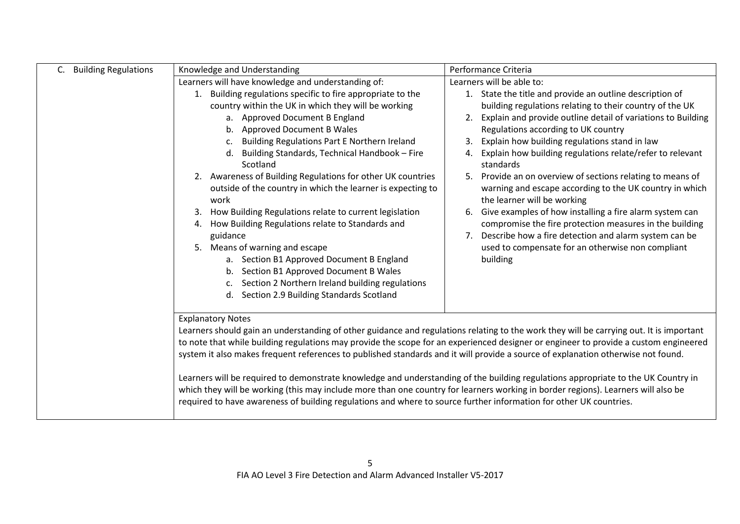| <b>Building Regulations</b> | Knowledge and Understanding                                                                                                                                                                                                                                                                                                                                                                  | Performance Criteria                                                                                                                                    |
|-----------------------------|----------------------------------------------------------------------------------------------------------------------------------------------------------------------------------------------------------------------------------------------------------------------------------------------------------------------------------------------------------------------------------------------|---------------------------------------------------------------------------------------------------------------------------------------------------------|
|                             | Learners will have knowledge and understanding of:                                                                                                                                                                                                                                                                                                                                           | Learners will be able to:                                                                                                                               |
|                             | Building regulations specific to fire appropriate to the<br>1.                                                                                                                                                                                                                                                                                                                               | 1. State the title and provide an outline description of                                                                                                |
|                             | country within the UK in which they will be working                                                                                                                                                                                                                                                                                                                                          | building regulations relating to their country of the UK                                                                                                |
|                             | a. Approved Document B England                                                                                                                                                                                                                                                                                                                                                               | Explain and provide outline detail of variations to Building<br>2.                                                                                      |
|                             | <b>Approved Document B Wales</b><br>b.                                                                                                                                                                                                                                                                                                                                                       | Regulations according to UK country                                                                                                                     |
|                             | Building Regulations Part E Northern Ireland<br>c.                                                                                                                                                                                                                                                                                                                                           | Explain how building regulations stand in law<br>3.                                                                                                     |
|                             | Building Standards, Technical Handbook - Fire<br>d.<br>Scotland                                                                                                                                                                                                                                                                                                                              | Explain how building regulations relate/refer to relevant<br>4.<br>standards                                                                            |
|                             | 2. Awareness of Building Regulations for other UK countries<br>outside of the country in which the learner is expecting to<br>work                                                                                                                                                                                                                                                           | Provide an on overview of sections relating to means of<br>5.<br>warning and escape according to the UK country in which<br>the learner will be working |
|                             | How Building Regulations relate to current legislation<br>3.<br>How Building Regulations relate to Standards and<br>4.                                                                                                                                                                                                                                                                       | Give examples of how installing a fire alarm system can<br>6.<br>compromise the fire protection measures in the building                                |
|                             | guidance                                                                                                                                                                                                                                                                                                                                                                                     | Describe how a fire detection and alarm system can be<br>7.                                                                                             |
|                             | Means of warning and escape<br>5.                                                                                                                                                                                                                                                                                                                                                            | used to compensate for an otherwise non compliant                                                                                                       |
|                             | a. Section B1 Approved Document B England                                                                                                                                                                                                                                                                                                                                                    | building                                                                                                                                                |
|                             | Section B1 Approved Document B Wales<br>b.                                                                                                                                                                                                                                                                                                                                                   |                                                                                                                                                         |
|                             | Section 2 Northern Ireland building regulations<br>c.                                                                                                                                                                                                                                                                                                                                        |                                                                                                                                                         |
|                             | Section 2.9 Building Standards Scotland<br>d.                                                                                                                                                                                                                                                                                                                                                |                                                                                                                                                         |
|                             | <b>Explanatory Notes</b>                                                                                                                                                                                                                                                                                                                                                                     |                                                                                                                                                         |
|                             | Learners should gain an understanding of other guidance and regulations relating to the work they will be carrying out. It is important                                                                                                                                                                                                                                                      |                                                                                                                                                         |
|                             | to note that while building regulations may provide the scope for an experienced designer or engineer to provide a custom engineered                                                                                                                                                                                                                                                         |                                                                                                                                                         |
|                             | system it also makes frequent references to published standards and it will provide a source of explanation otherwise not found.                                                                                                                                                                                                                                                             |                                                                                                                                                         |
|                             | Learners will be required to demonstrate knowledge and understanding of the building regulations appropriate to the UK Country in<br>which they will be working (this may include more than one country for learners working in border regions). Learners will also be<br>required to have awareness of building regulations and where to source further information for other UK countries. |                                                                                                                                                         |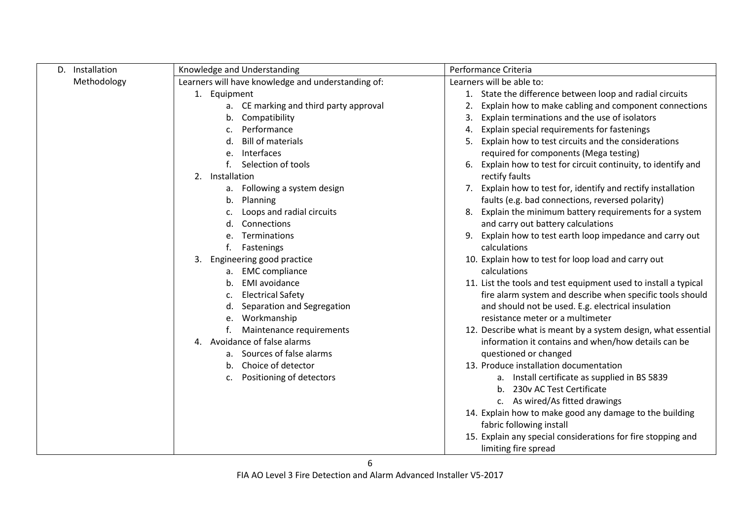| Installation<br>D. | Knowledge and Understanding                        | Performance Criteria                                              |
|--------------------|----------------------------------------------------|-------------------------------------------------------------------|
| Methodology        | Learners will have knowledge and understanding of: | Learners will be able to:                                         |
|                    | 1. Equipment                                       | State the difference between loop and radial circuits             |
|                    | CE marking and third party approval<br>а.          | Explain how to make cabling and component connections             |
|                    | Compatibility<br>b.                                | Explain terminations and the use of isolators<br>3.               |
|                    | Performance<br>c.                                  | Explain special requirements for fastenings<br>4.                 |
|                    | <b>Bill of materials</b><br>d.                     | Explain how to test circuits and the considerations<br>5.         |
|                    | Interfaces<br>e.                                   | required for components (Mega testing)                            |
|                    | Selection of tools                                 | Explain how to test for circuit continuity, to identify and<br>6. |
|                    | 2. Installation                                    | rectify faults                                                    |
|                    | Following a system design<br>a.                    | Explain how to test for, identify and rectify installation<br>7.  |
|                    | Planning<br>b.                                     | faults (e.g. bad connections, reversed polarity)                  |
|                    | Loops and radial circuits<br>c.                    | Explain the minimum battery requirements for a system<br>8.       |
|                    | Connections<br>d.                                  | and carry out battery calculations                                |
|                    | Terminations                                       | Explain how to test earth loop impedance and carry out<br>9.      |
|                    | Fastenings                                         | calculations                                                      |
|                    | 3. Engineering good practice                       | 10. Explain how to test for loop load and carry out               |
|                    | a. EMC compliance                                  | calculations                                                      |
|                    | <b>EMI</b> avoidance<br>b.                         | 11. List the tools and test equipment used to install a typical   |
|                    | <b>Electrical Safety</b><br>c.                     | fire alarm system and describe when specific tools should         |
|                    | Separation and Segregation<br>d.                   | and should not be used. E.g. electrical insulation                |
|                    | Workmanship<br>е.                                  | resistance meter or a multimeter                                  |
|                    | Maintenance requirements                           | 12. Describe what is meant by a system design, what essential     |
|                    | 4. Avoidance of false alarms                       | information it contains and when/how details can be               |
|                    | a. Sources of false alarms                         | questioned or changed                                             |
|                    | Choice of detector<br>b.                           | 13. Produce installation documentation                            |
|                    | Positioning of detectors<br>c.                     | a. Install certificate as supplied in BS 5839                     |
|                    |                                                    | b. 230v AC Test Certificate                                       |
|                    |                                                    | c. As wired/As fitted drawings                                    |
|                    |                                                    | 14. Explain how to make good any damage to the building           |
|                    |                                                    | fabric following install                                          |
|                    |                                                    | 15. Explain any special considerations for fire stopping and      |
|                    |                                                    | limiting fire spread                                              |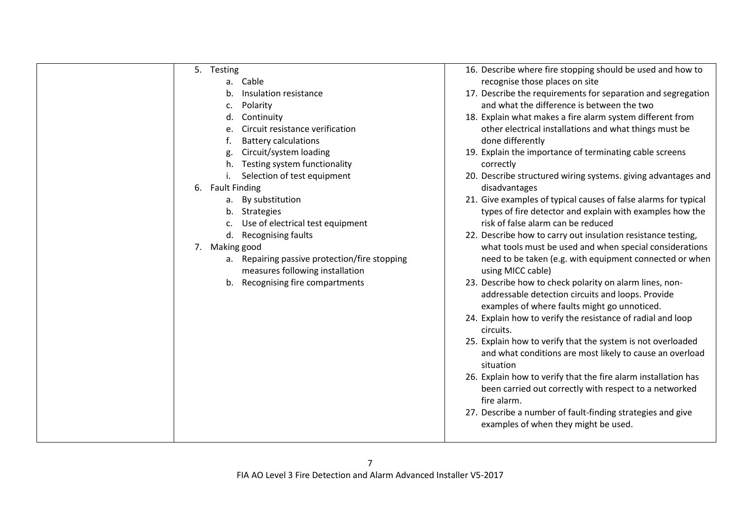| 5. Testing                                    | 16. Describe where fire stopping should be used and how to                                                   |
|-----------------------------------------------|--------------------------------------------------------------------------------------------------------------|
| a. Cable                                      | recognise those places on site                                                                               |
| Insulation resistance<br>b.                   | 17. Describe the requirements for separation and segregation                                                 |
| Polarity<br>c.                                | and what the difference is between the two                                                                   |
| Continuity<br>d.                              | 18. Explain what makes a fire alarm system different from                                                    |
| Circuit resistance verification<br>e.         | other electrical installations and what things must be                                                       |
| <b>Battery calculations</b>                   | done differently                                                                                             |
| Circuit/system loading<br>g.                  | 19. Explain the importance of terminating cable screens                                                      |
| Testing system functionality<br>h.            | correctly                                                                                                    |
| Selection of test equipment                   | 20. Describe structured wiring systems. giving advantages and                                                |
| 6.<br><b>Fault Finding</b>                    | disadvantages                                                                                                |
| a. By substitution                            | 21. Give examples of typical causes of false alarms for typical                                              |
| b. Strategies                                 | types of fire detector and explain with examples how the                                                     |
| Use of electrical test equipment<br>c.        | risk of false alarm can be reduced                                                                           |
| Recognising faults<br>d.                      | 22. Describe how to carry out insulation resistance testing,                                                 |
| 7. Making good                                | what tools must be used and when special considerations                                                      |
| a. Repairing passive protection/fire stopping | need to be taken (e.g. with equipment connected or when                                                      |
| measures following installation               | using MICC cable)                                                                                            |
| Recognising fire compartments<br>b.           | 23. Describe how to check polarity on alarm lines, non-<br>addressable detection circuits and loops. Provide |
|                                               | examples of where faults might go unnoticed.                                                                 |
|                                               | 24. Explain how to verify the resistance of radial and loop                                                  |
|                                               | circuits.                                                                                                    |
|                                               | 25. Explain how to verify that the system is not overloaded                                                  |
|                                               | and what conditions are most likely to cause an overload                                                     |
|                                               | situation                                                                                                    |
|                                               | 26. Explain how to verify that the fire alarm installation has                                               |
|                                               | been carried out correctly with respect to a networked                                                       |
|                                               | fire alarm.                                                                                                  |
|                                               | 27. Describe a number of fault-finding strategies and give                                                   |
|                                               | examples of when they might be used.                                                                         |
|                                               |                                                                                                              |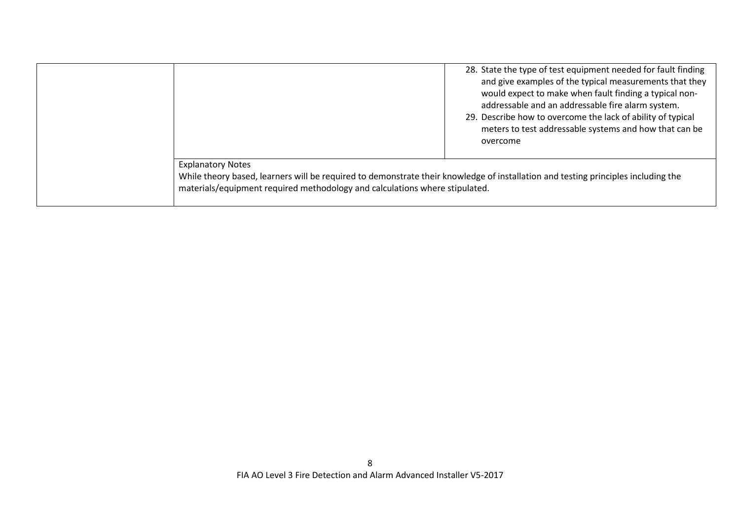|                                                                                                                                                                                                                                              | 28. State the type of test equipment needed for fault finding<br>and give examples of the typical measurements that they<br>would expect to make when fault finding a typical non-<br>addressable and an addressable fire alarm system.<br>29. Describe how to overcome the lack of ability of typical<br>meters to test addressable systems and how that can be<br>overcome |
|----------------------------------------------------------------------------------------------------------------------------------------------------------------------------------------------------------------------------------------------|------------------------------------------------------------------------------------------------------------------------------------------------------------------------------------------------------------------------------------------------------------------------------------------------------------------------------------------------------------------------------|
| <b>Explanatory Notes</b><br>While theory based, learners will be required to demonstrate their knowledge of installation and testing principles including the<br>materials/equipment required methodology and calculations where stipulated. |                                                                                                                                                                                                                                                                                                                                                                              |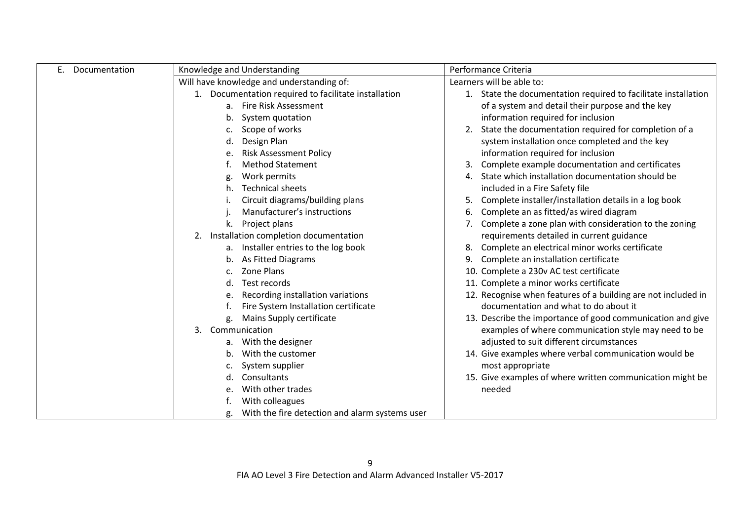| Documentation | Knowledge and Understanding                             | Performance Criteria                                              |
|---------------|---------------------------------------------------------|-------------------------------------------------------------------|
|               | Will have knowledge and understanding of:               | Learners will be able to:                                         |
|               | Documentation required to facilitate installation<br>1. | State the documentation required to facilitate installation<br>1. |
|               | Fire Risk Assessment<br>a.                              | of a system and detail their purpose and the key                  |
|               | System quotation<br>b.                                  | information required for inclusion                                |
|               | Scope of works                                          | State the documentation required for completion of a              |
|               | Design Plan<br>d.                                       | system installation once completed and the key                    |
|               | <b>Risk Assessment Policy</b><br>e.                     | information required for inclusion                                |
|               | <b>Method Statement</b>                                 | Complete example documentation and certificates                   |
|               | Work permits<br>g.                                      | State which installation documentation should be<br>4.            |
|               | <b>Technical sheets</b><br>h.                           | included in a Fire Safety file                                    |
|               | Circuit diagrams/building plans                         | Complete installer/installation details in a log book             |
|               | Manufacturer's instructions                             | Complete an as fitted/as wired diagram                            |
|               | Project plans<br>k.                                     | Complete a zone plan with consideration to the zoning             |
|               | Installation completion documentation<br>2.             | requirements detailed in current guidance                         |
|               | a. Installer entries to the log book                    | Complete an electrical minor works certificate                    |
|               | As Fitted Diagrams<br>b.                                | Complete an installation certificate                              |
|               | Zone Plans                                              | 10. Complete a 230v AC test certificate                           |
|               | Test records<br>d.                                      | 11. Complete a minor works certificate                            |
|               | Recording installation variations                       | 12. Recognise when features of a building are not included in     |
|               | Fire System Installation certificate                    | documentation and what to do about it                             |
|               | Mains Supply certificate<br>g.                          | 13. Describe the importance of good communication and give        |
|               | Communication<br>3.                                     | examples of where communication style may need to be              |
|               | With the designer<br>а.                                 | adjusted to suit different circumstances                          |
|               | With the customer<br>b.                                 | 14. Give examples where verbal communication would be             |
|               | System supplier                                         | most appropriate                                                  |
|               | Consultants                                             | 15. Give examples of where written communication might be         |
|               | With other trades<br>e.                                 | needed                                                            |
|               | With colleagues                                         |                                                                   |
|               | With the fire detection and alarm systems user<br>g.    |                                                                   |